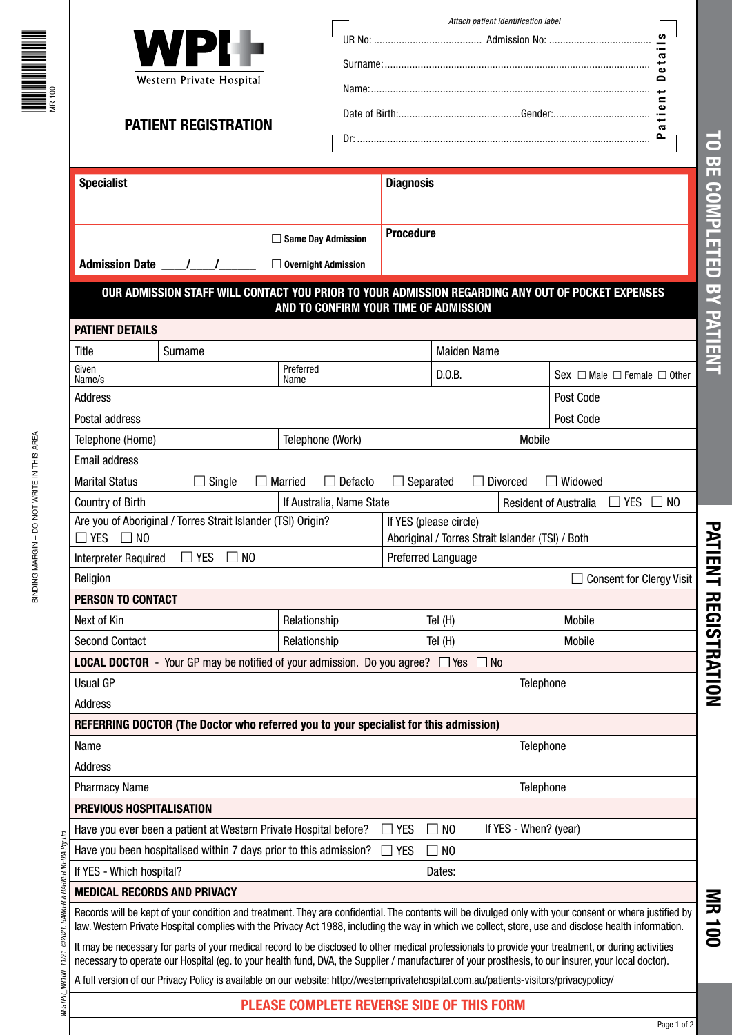|                                      | WPI<br>Western Private Hospital<br><b>PATIENT REGISTRATION</b>                                                                                                                                                                                                                                                  |                                                  |                  |                        | Attach patient identification label              |                                            | ဖာ<br>Φ |
|--------------------------------------|-----------------------------------------------------------------------------------------------------------------------------------------------------------------------------------------------------------------------------------------------------------------------------------------------------------------|--------------------------------------------------|------------------|------------------------|--------------------------------------------------|--------------------------------------------|---------|
| <b>Specialist</b>                    |                                                                                                                                                                                                                                                                                                                 |                                                  | <b>Diagnosis</b> |                        |                                                  |                                            |         |
|                                      | □ Same Day Admission<br>□ Overnight Admission                                                                                                                                                                                                                                                                   | <b>Procedure</b>                                 |                  |                        |                                                  |                                            |         |
|                                      | OUR ADMISSION STAFF WILL CONTACT YOU PRIOR TO YOUR ADMISSION REGARDING ANY OUT OF POCKET EXPENSES                                                                                                                                                                                                               | AND TO CONFIRM YOUR TIME OF ADMISSION            |                  |                        |                                                  |                                            |         |
| <b>PATIENT DETAILS</b>               |                                                                                                                                                                                                                                                                                                                 |                                                  |                  |                        |                                                  |                                            |         |
| Title                                | Surname                                                                                                                                                                                                                                                                                                         |                                                  |                  | <b>Maiden Name</b>     |                                                  |                                            |         |
| Given<br>Name/s                      |                                                                                                                                                                                                                                                                                                                 | Preferred<br>Name                                |                  | D.0.B.                 |                                                  | Sex $\Box$ Male $\Box$ Female $\Box$ Other |         |
| Address                              |                                                                                                                                                                                                                                                                                                                 |                                                  |                  |                        |                                                  | Post Code                                  |         |
| Postal address                       |                                                                                                                                                                                                                                                                                                                 |                                                  |                  |                        |                                                  | Post Code                                  |         |
| Telephone (Home)                     | Telephone (Work)                                                                                                                                                                                                                                                                                                |                                                  |                  |                        | Mobile                                           |                                            |         |
| <b>Email address</b>                 |                                                                                                                                                                                                                                                                                                                 |                                                  |                  |                        |                                                  |                                            |         |
| <b>Marital Status</b>                | $\Box$ Single                                                                                                                                                                                                                                                                                                   | $\Box$ Defacto<br>Married                        | $\Box$ Separated |                        | $\Box$ Divorced                                  | $\Box$ Widowed                             |         |
| <b>Country of Birth</b>              |                                                                                                                                                                                                                                                                                                                 | If Australia, Name State                         |                  |                        |                                                  | $\Box$ yes<br><b>Resident of Australia</b> | NO.     |
| $\Box$ YES $\Box$ NO                 | Are you of Aboriginal / Torres Strait Islander (TSI) Origin?                                                                                                                                                                                                                                                    |                                                  |                  | If YES (please circle) | Aboriginal / Torres Strait Islander (TSI) / Both |                                            |         |
| <b>Interpreter Required</b>          | <b>YES</b><br>$\Box$ NO                                                                                                                                                                                                                                                                                         |                                                  |                  | Preferred Language     |                                                  |                                            |         |
| Religion                             |                                                                                                                                                                                                                                                                                                                 |                                                  |                  |                        |                                                  | <b>Consent for Clergy Visit</b>            |         |
| <b>PERSON TO CONTACT</b>             |                                                                                                                                                                                                                                                                                                                 |                                                  |                  |                        |                                                  |                                            |         |
| Next of Kin                          |                                                                                                                                                                                                                                                                                                                 | Relationship                                     |                  | Tel $(H)$              |                                                  | Mobile                                     |         |
| <b>Second Contact</b>                |                                                                                                                                                                                                                                                                                                                 | Relationship                                     |                  | Tel $(H)$              |                                                  | Mobile                                     |         |
|                                      | <b>LOCAL DOCTOR</b> - Your GP may be notified of your admission. Do you agree? $\Box$ Yes $\Box$ No                                                                                                                                                                                                             |                                                  |                  |                        |                                                  |                                            |         |
| <b>Usual GP</b>                      |                                                                                                                                                                                                                                                                                                                 |                                                  |                  |                        | Telephone                                        |                                            |         |
| Address                              |                                                                                                                                                                                                                                                                                                                 |                                                  |                  |                        |                                                  |                                            |         |
|                                      | REFERRING DOCTOR (The Doctor who referred you to your specialist for this admission)                                                                                                                                                                                                                            |                                                  |                  |                        |                                                  |                                            |         |
| Name<br>Address                      |                                                                                                                                                                                                                                                                                                                 |                                                  |                  |                        | Telephone                                        |                                            |         |
| <b>Pharmacy Name</b>                 |                                                                                                                                                                                                                                                                                                                 |                                                  |                  |                        | Telephone                                        |                                            |         |
| PREVIOUS HOSPITALISATION             |                                                                                                                                                                                                                                                                                                                 |                                                  |                  |                        |                                                  |                                            |         |
|                                      | Have you ever been a patient at Western Private Hospital before?                                                                                                                                                                                                                                                |                                                  | $\Box$ Yes       | N <sub>0</sub>         | If YES - When? (year)                            |                                            |         |
|                                      | Have you been hospitalised within 7 days prior to this admission?                                                                                                                                                                                                                                               |                                                  | <b>YES</b>       | $\square$ NO           |                                                  |                                            |         |
| If YES - Which hospital?             |                                                                                                                                                                                                                                                                                                                 |                                                  |                  | Dates:                 |                                                  |                                            |         |
| <b>MEDICAL RECORDS AND PRIVACY</b>   |                                                                                                                                                                                                                                                                                                                 |                                                  |                  |                        |                                                  |                                            |         |
| @2021. BARKER & BARKER MEDIA Pty Ltd | Records will be kept of your condition and treatment. They are confidential. The contents will be divulged only with your consent or where justified by<br>law. Western Private Hospital complies with the Privacy Act 1988, including the way in which we collect, store, use and disclose health information. |                                                  |                  |                        |                                                  |                                            |         |
| MESTPH_MR100 11/21                   | It may be necessary for parts of your medical record to be disclosed to other medical professionals to provide your treatment, or during activities<br>necessary to operate our Hospital (eg. to your health fund, DVA, the Supplier / manufacturer of your prosthesis, to our insurer, your local doctor).     |                                                  |                  |                        |                                                  |                                            |         |
|                                      | A full version of our Privacy Policy is available on our website: http://westernprivatehospital.com.au/patients-visitors/privacypolicy/                                                                                                                                                                         |                                                  |                  |                        |                                                  |                                            |         |
|                                      |                                                                                                                                                                                                                                                                                                                 | <b>PLEASE COMPLETE REVERSE SIDE OF THIS FORM</b> |                  |                        |                                                  |                                            |         |

**MR 100**

**PATIENT REGISTRATION TO BE COMPLETED BY PATIENT**

PATIENT REGISTRATION

TO BE COMPLETED BY PATIENT